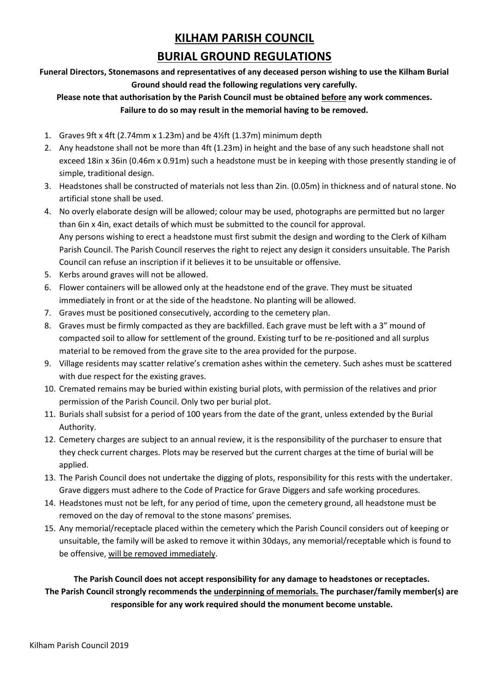## **KILHAM PARISH COUNCIL**

## **BURIAL GROUND REGULATIONS**

**Funeral Directors, Stonemasons and representatives of any deceased person wishing to use the Kilham Burial Ground should read the following regulations very carefully.**

## **Please note that authorisation by the Parish Council must be obtained before any work commences. Failure to do so may result in the memorial having to be removed.**

- 1. Graves 9ft x 4ft (2.74mm x 1.23m) and be 4½ft (1.37m) minimum depth
- 2. Any headstone shall not be more than 4ft (1.23m) in height and the base of any such headstone shall not exceed 18in x 36in (0.46m x 0.91m) such a headstone must be in keeping with those presently standing ie of simple, traditional design.
- 3. Headstones shall be constructed of materials not less than 2in. (0.05m) in thickness and of natural stone. No artificial stone shall be used.
- 4. No overly elaborate design will be allowed; colour may be used, photographs are permitted but no larger than 6in x 4in, exact details of which must be submitted to the council for approval. Any persons wishing to erect a headstone must first submit the design and wording to the Clerk of Kilham Parish Council. The Parish Council reserves the right to reject any design it considers unsuitable. The Parish Council can refuse an inscription if it believes it to be unsuitable or offensive.
- 5. Kerbs around graves will not be allowed.
- 6. Flower containers will be allowed only at the headstone end of the grave. They must be situated immediately in front or at the side of the headstone. No planting will be allowed.
- 7. Graves must be positioned consecutively, according to the cemetery plan.
- 8. Graves must be firmly compacted as they are backfilled. Each grave must be left with a 3" mound of compacted soil to allow for settlement of the ground. Existing turf to be re-positioned and all surplus material to be removed from the grave site to the area provided for the purpose.
- 9. Village residents may scatter relative's cremation ashes within the cemetery. Such ashes must be scattered with due respect for the existing graves.
- 10. Cremated remains may be buried within existing burial plots, with permission of the relatives and prior permission of the Parish Council. Only two per burial plot.
- 11. Burials shall subsist for a period of 100 years from the date of the grant, unless extended by the Burial Authority.
- 12. Cemetery charges are subject to an annual review, it is the responsibility of the purchaser to ensure that they check current charges. Plots may be reserved but the current charges at the time of burial will be applied.
- 13. The Parish Council does not undertake the digging of plots, responsibility for this rests with the undertaker. Grave diggers must adhere to the Code of Practice for Grave Diggers and safe working procedures.
- 14. Headstones must not be left, for any period of time, upon the cemetery ground, all headstone must be removed on the day of removal to the stone masons' premises.
- 15. Any memorial/receptacle placed within the cemetery which the Parish Council considers out of keeping or unsuitable, the family will be asked to remove it within 30days, any memorial/receptable which is found to be offensive, will be removed immediately.

**The Parish Council does not accept responsibility for any damage to headstones or receptacles. The Parish Council strongly recommends the underpinning of memorials. The purchaser/family member(s) are responsible for any work required should the monument become unstable.**